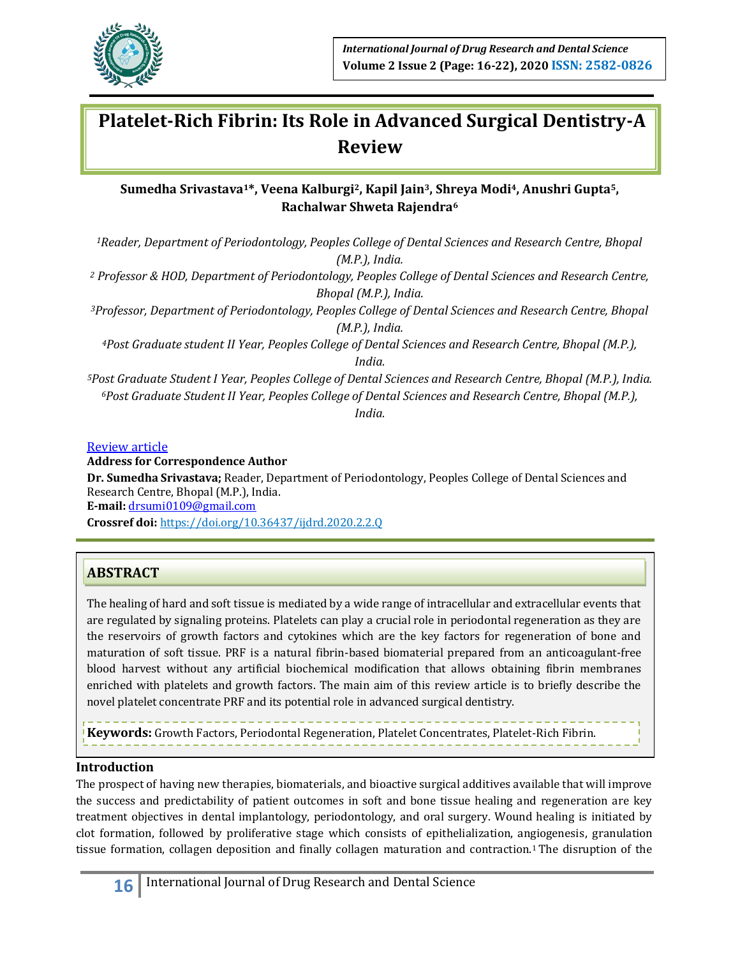

# **Platelet-Rich Fibrin: Its Role in Advanced Surgical Dentistry-A Review**

## **Sumedha Srivastava1\*, Veena Kalburgi2, Kapil Jain3, Shreya Modi4, Anushri Gupta5, Rachalwar Shweta Rajendra<sup>6</sup>**

*<sup>1</sup>Reader, Department of Periodontology, Peoples College of Dental Sciences and Research Centre, Bhopal (M.P.), India.*

*<sup>2</sup> Professor & HOD, Department of Periodontology, Peoples College of Dental Sciences and Research Centre, Bhopal (M.P.), India.*

*<sup>3</sup>Professor, Department of Periodontology, Peoples College of Dental Sciences and Research Centre, Bhopal (M.P.), India.*

*<sup>4</sup>Post Graduate student II Year, Peoples College of Dental Sciences and Research Centre, Bhopal (M.P.), India.*

*<sup>5</sup>Post Graduate Student I Year, Peoples College of Dental Sciences and Research Centre, Bhopal (M.P.), India. <sup>6</sup>Post Graduate Student II Year, Peoples College of Dental Sciences and Research Centre, Bhopal (M.P.), India.*

Review article

**Address for Correspondence Author**

**Dr. Sumedha Srivastava;** Reader, Department of Periodontology, Peoples College of Dental Sciences and Research Centre, Bhopal (M.P.), India. **E‑mail:** [drsumi0109@gmail.com](mailto:drsumi0109@gmail.com) **Crossref doi:** https://doi.org/10.36437/ijdrd.2020.2.2.Q

# **ABSTRACT**

The healing of hard and soft tissue is mediated by a wide range of intracellular and extracellular events that are regulated by signaling proteins. Platelets can play a crucial role in periodontal regeneration as they are the reservoirs of growth factors and cytokines which are the key factors for regeneration of bone and maturation of soft tissue. PRF is a natural fibrin-based biomaterial prepared from an anticoagulant-free blood harvest without any artificial biochemical modification that allows obtaining fibrin membranes enriched with platelets and growth factors. The main aim of this review article is to briefly describe the novel platelet concentrate PRF and its potential role in advanced surgical dentistry.

**Keywords:** Growth Factors, Periodontal Regeneration, Platelet Concentrates, Platelet-Rich Fibrin.

## **Introduction**

The prospect of having new therapies, biomaterials, and bioactive surgical additives available that will improve the success and predictability of patient outcomes in soft and bone tissue healing and regeneration are key treatment objectives in dental implantology, periodontology, and oral surgery. Wound healing is initiated by clot formation, followed by proliferative stage which consists of epithelialization, angiogenesis, granulation tissue formation, collagen deposition and finally collagen maturation and contraction.<sup>1</sup>The disruption of the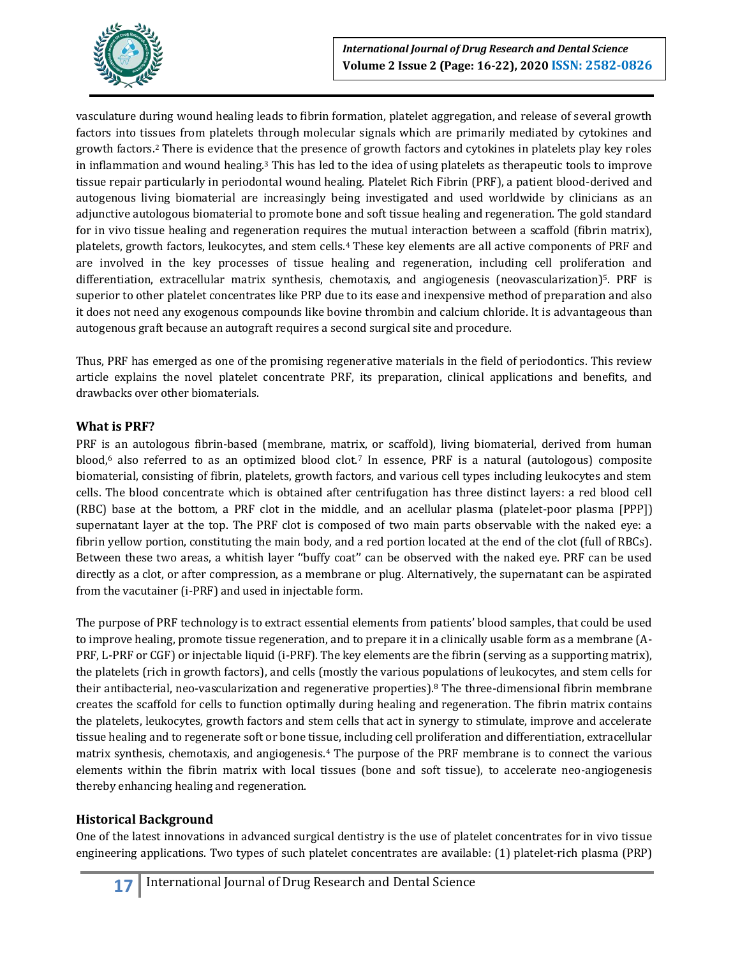

vasculature during wound healing leads to fibrin formation, platelet aggregation, and release of several growth factors into tissues from platelets through molecular signals which are primarily mediated by cytokines and growth factors.<sup>2</sup> There is evidence that the presence of growth factors and cytokines in platelets play key roles in inflammation and wound healing.<sup>3</sup> This has led to the idea of using platelets as therapeutic tools to improve tissue repair particularly in periodontal wound healing. Platelet Rich Fibrin (PRF), a patient blood-derived and autogenous living biomaterial are increasingly being investigated and used worldwide by clinicians as an adjunctive autologous biomaterial to promote bone and soft tissue healing and regeneration. The gold standard for in vivo tissue healing and regeneration requires the mutual interaction between a scaffold (fibrin matrix), platelets, growth factors, leukocytes, and stem cells.<sup>4</sup> These key elements are all active components of PRF and are involved in the key processes of tissue healing and regeneration, including cell proliferation and differentiation, extracellular matrix synthesis, chemotaxis, and angiogenesis (neovascularization)5. PRF is superior to other platelet concentrates like PRP due to its ease and inexpensive method of preparation and also it does not need any exogenous compounds like bovine thrombin and calcium chloride. It is advantageous than autogenous graft because an autograft requires a second surgical site and procedure.

Thus, PRF has emerged as one of the promising regenerative materials in the field of periodontics. This review article explains the novel platelet concentrate PRF, its preparation, clinical applications and benefits, and drawbacks over other biomaterials.

### **What is PRF?**

PRF is an autologous fibrin-based (membrane, matrix, or scaffold), living biomaterial, derived from human blood,<sup>6</sup> also referred to as an optimized blood clot.<sup>7</sup> In essence, PRF is a natural (autologous) composite biomaterial, consisting of fibrin, platelets, growth factors, and various cell types including leukocytes and stem cells. The blood concentrate which is obtained after centrifugation has three distinct layers: a red blood cell (RBC) base at the bottom, a PRF clot in the middle, and an acellular plasma (platelet-poor plasma [PPP]) supernatant layer at the top. The PRF clot is composed of two main parts observable with the naked eye: a fibrin yellow portion, constituting the main body, and a red portion located at the end of the clot (full of RBCs). Between these two areas, a whitish layer ''buffy coat'' can be observed with the naked eye. PRF can be used directly as a clot, or after compression, as a membrane or plug. Alternatively, the supernatant can be aspirated from the vacutainer (i-PRF) and used in injectable form.

The purpose of PRF technology is to extract essential elements from patients' blood samples, that could be used to improve healing, promote tissue regeneration, and to prepare it in a clinically usable form as a membrane (A-PRF, L-PRF or CGF) or injectable liquid (i-PRF). The key elements are the fibrin (serving as a supporting matrix), the platelets (rich in growth factors), and cells (mostly the various populations of leukocytes, and stem cells for their antibacterial, neo-vascularization and regenerative properties).<sup>8</sup> The three-dimensional fibrin membrane creates the scaffold for cells to function optimally during healing and regeneration. The fibrin matrix contains the platelets, leukocytes, growth factors and stem cells that act in synergy to stimulate, improve and accelerate tissue healing and to regenerate soft or bone tissue, including cell proliferation and differentiation, extracellular matrix synthesis, chemotaxis, and angiogenesis.<sup>4</sup> The purpose of the PRF membrane is to connect the various elements within the fibrin matrix with local tissues (bone and soft tissue), to accelerate neo-angiogenesis thereby enhancing healing and regeneration.

## **Historical Background**

One of the latest innovations in advanced surgical dentistry is the use of platelet concentrates for in vivo tissue engineering applications. Two types of such platelet concentrates are available: (1) platelet‐rich plasma (PRP)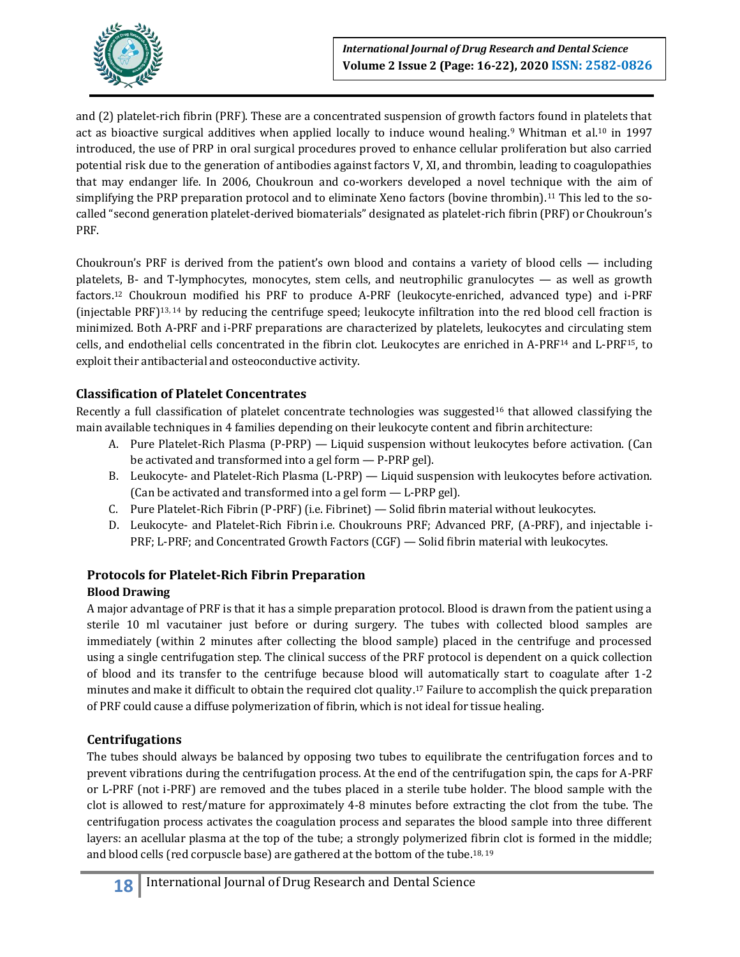

and (2) platelet-rich fibrin (PRF). These are a concentrated suspension of growth factors found in platelets that act as bioactive surgical additives when applied locally to induce wound healing.<sup>9</sup> Whitman et al.<sup>10</sup> in 1997 introduced, the use of PRP in oral surgical procedures proved to enhance cellular proliferation but also carried potential risk due to the generation of antibodies against factors V, XI, and thrombin, leading to coagulopathies that may endanger life. In 2006, Choukroun and co-workers developed a novel technique with the aim of simplifying the PRP preparation protocol and to eliminate Xeno factors (bovine thrombin).<sup>11</sup> This led to the socalled "second generation platelet-derived biomaterials" designated as platelet-rich fibrin (PRF) or Choukroun's PRF.

Choukroun's PRF is derived from the patient's own blood and contains a variety of blood cells — including platelets, B- and T-lymphocytes, monocytes, stem cells, and neutrophilic granulocytes — as well as growth factors.<sup>12</sup> Choukroun modified his PRF to produce A-PRF (leukocyte-enriched, advanced type) and i-PRF (injectable PRF)13, <sup>14</sup> by reducing the centrifuge speed; leukocyte infiltration into the red blood cell fraction is minimized. Both A-PRF and i-PRF preparations are characterized by platelets, leukocytes and circulating stem cells, and endothelial cells concentrated in the fibrin clot. Leukocytes are enriched in A-PRF<sup>14</sup> and L-PRF15, to exploit their antibacterial and osteoconductive activity.

## **Classification of Platelet Concentrates**

Recently a full classification of platelet concentrate technologies was suggested<sup>16</sup> that allowed classifying the main available techniques in 4 families depending on their leukocyte content and fibrin architecture:

- A. Pure Platelet-Rich Plasma (P-PRP) Liquid suspension without leukocytes before activation. (Can be activated and transformed into a gel form — P-PRP gel).
- B. Leukocyte- and Platelet-Rich Plasma (L-PRP) Liquid suspension with leukocytes before activation. (Can be activated and transformed into a gel form — L-PRP gel).
- C. Pure Platelet-Rich Fibrin (P-PRF) (i.e. Fibrinet) Solid fibrin material without leukocytes.
- D. Leukocyte- and Platelet-Rich Fibrin i.e. Choukrouns PRF; Advanced PRF, (A-PRF), and injectable i-PRF; L-PRF; and Concentrated Growth Factors (CGF) — Solid fibrin material with leukocytes.

## **Protocols for Platelet-Rich Fibrin Preparation Blood Drawing**

A major advantage of PRF is that it has a simple preparation protocol. Blood is drawn from the patient using a sterile 10 ml vacutainer just before or during surgery. The tubes with collected blood samples are immediately (within 2 minutes after collecting the blood sample) placed in the centrifuge and processed using a single centrifugation step. The clinical success of the PRF protocol is dependent on a quick collection of blood and its transfer to the centrifuge because blood will automatically start to coagulate after 1-2 minutes and make it difficult to obtain the required clot quality. <sup>17</sup> Failure to accomplish the quick preparation of PRF could cause a diffuse polymerization of fibrin, which is not ideal for tissue healing.

## **Centrifugations**

The tubes should always be balanced by opposing two tubes to equilibrate the centrifugation forces and to prevent vibrations during the centrifugation process. At the end of the centrifugation spin, the caps for A-PRF or L-PRF (not i-PRF) are removed and the tubes placed in a sterile tube holder. The blood sample with the clot is allowed to rest/mature for approximately 4-8 minutes before extracting the clot from the tube. The centrifugation process activates the coagulation process and separates the blood sample into three different layers: an acellular plasma at the top of the tube; a strongly polymerized fibrin clot is formed in the middle; and blood cells (red corpuscle base) are gathered at the bottom of the tube.18, <sup>19</sup>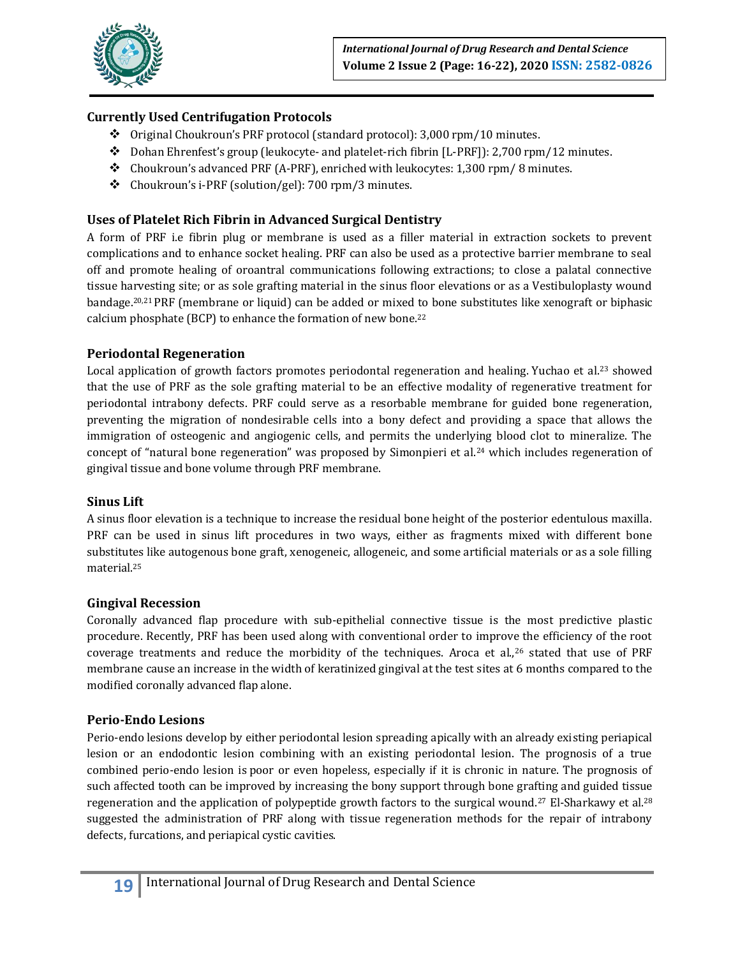

# **Currently Used Centrifugation Protocols**

- Original Choukroun's PRF protocol (standard protocol): 3,000 rpm/10 minutes.
- $\bullet$  Dohan Ehrenfest's group (leukocyte- and platelet-rich fibrin [L-PRF]): 2,700 rpm/12 minutes.
- $\div$  Choukroun's advanced PRF (A-PRF), enriched with leukocytes: 1,300 rpm/8 minutes.
- Choukroun's i-PRF (solution/gel): 700 rpm/3 minutes.

## **Uses of Platelet Rich Fibrin in Advanced Surgical Dentistry**

A form of PRF i.e fibrin plug or membrane is used as a filler material in extraction sockets to prevent complications and to enhance socket healing. PRF can also be used as a protective barrier membrane to seal off and promote healing of oroantral communications following extractions; to close a palatal connective tissue harvesting site; or as sole grafting material in the sinus floor elevations or as a Vestibuloplasty wound bandage.20,21 PRF (membrane or liquid) can be added or mixed to bone substitutes like xenograft or biphasic calcium phosphate (BCP) to enhance the formation of new bone.<sup>22</sup>

## **Periodontal Regeneration**

Local application of growth factors promotes periodontal regeneration and healing. Yuchao et al.<sup>23</sup> showed that the use of PRF as the sole grafting material to be an effective modality of regenerative treatment for periodontal intrabony defects. PRF could serve as a resorbable membrane for guided bone regeneration, preventing the migration of nondesirable cells into a bony defect and providing a space that allows the immigration of osteogenic and angiogenic cells, and permits the underlying blood clot to mineralize. The concept of "natural bone regeneration" was proposed by Simonpieri et al.<sup>24</sup> which includes regeneration of gingival tissue and bone volume through PRF membrane.

#### **Sinus Lift**

A sinus floor elevation is a technique to increase the residual bone height of the posterior edentulous maxilla. PRF can be used in sinus lift procedures in two ways, either as fragments mixed with different bone substitutes like autogenous bone graft, xenogeneic, allogeneic, and some artificial materials or as a sole filling material.<sup>25</sup>

#### **Gingival Recession**

Coronally advanced flap procedure with sub-epithelial connective tissue is the most predictive plastic procedure. Recently, PRF has been used along with conventional order to improve the efficiency of the root coverage treatments and reduce the morbidity of the techniques. Aroca et al.,<sup>26</sup> stated that use of PRF membrane cause an increase in the width of keratinized gingival at the test sites at 6 months compared to the modified coronally advanced flap alone.

#### **Perio-Endo Lesions**

Perio‐endo lesions develop by either periodontal lesion spreading apically with an already existing periapical lesion or an endodontic lesion combining with an existing periodontal lesion. The prognosis of a true combined perio‐endo lesion is poor or even hopeless, especially if it is chronic in nature. The prognosis of such affected tooth can be improved by increasing the bony support through bone grafting and guided tissue regeneration and the application of polypeptide growth factors to the surgical wound.<sup>27</sup> El-Sharkawy et al.<sup>28</sup> suggested the administration of PRF along with tissue regeneration methods for the repair of intrabony defects, furcations, and periapical cystic cavities.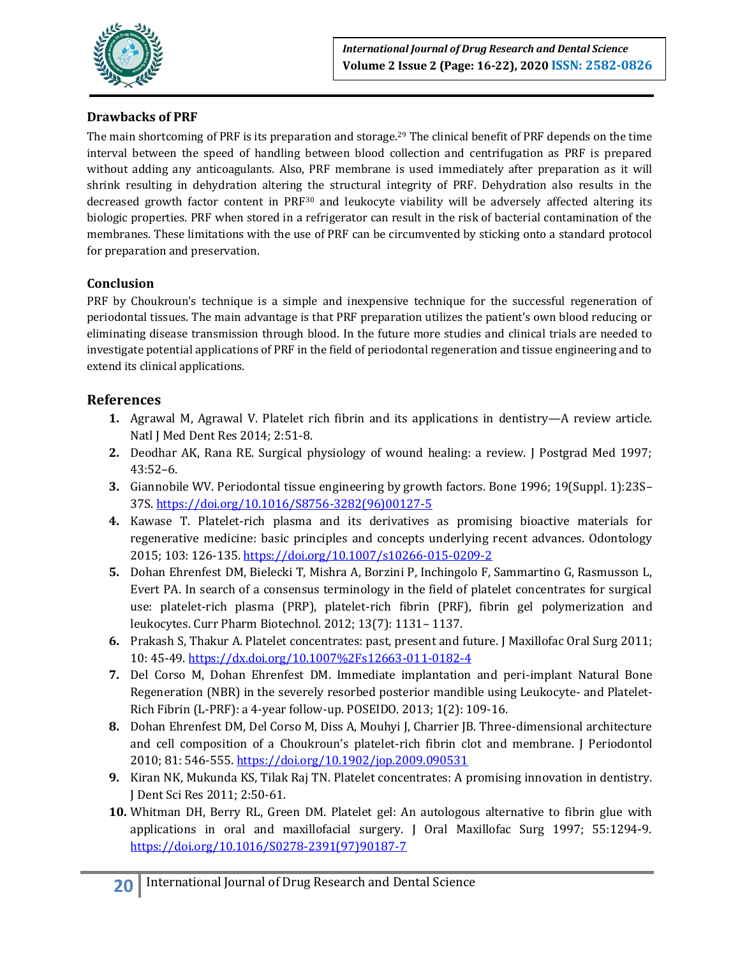

# **Drawbacks of PRF**

The main shortcoming of PRF is its preparation and storage.<sup>29</sup> The clinical benefit of PRF depends on the time interval between the speed of handling between blood collection and centrifugation as PRF is prepared without adding any anticoagulants. Also, PRF membrane is used immediately after preparation as it will shrink resulting in dehydration altering the structural integrity of PRF. Dehydration also results in the decreased growth factor content in PRF<sup>30</sup> and leukocyte viability will be adversely affected altering its biologic properties. PRF when stored in a refrigerator can result in the risk of bacterial contamination of the membranes. These limitations with the use of PRF can be circumvented by sticking onto a standard protocol for preparation and preservation.

## **Conclusion**

PRF by Choukroun's technique is a simple and inexpensive technique for the successful regeneration of periodontal tissues. The main advantage is that PRF preparation utilizes the patient's own blood reducing or eliminating disease transmission through blood. In the future more studies and clinical trials are needed to investigate potential applications of PRF in the field of periodontal regeneration and tissue engineering and to extend its clinical applications.

## **References**

- **1.** Agrawal M, Agrawal V. Platelet rich fibrin and its applications in dentistry—A review article. Natl J Med Dent Res 2014; 2:51-8.
- **2.** Deodhar AK, Rana RE. Surgical physiology of wound healing: a review. J Postgrad Med 1997; 43:52–6.
- **3.** Giannobile WV. Periodontal tissue engineering by growth factors. Bone 1996; 19(Suppl. 1):23S– 37S[. https://doi.org/10.1016/S8756-3282\(96\)00127-5](https://doi.org/10.1016/S8756-3282(96)00127-5)
- **4.** Kawase T. Platelet-rich plasma and its derivatives as promising bioactive materials for regenerative medicine: basic principles and concepts underlying recent advances. Odontology 2015; 103: 126-135[. https://doi.org/10.1007/s10266-015-0209-2](https://doi.org/10.1007/s10266-015-0209-2)
- **5.** Dohan Ehrenfest DM, Bielecki T, Mishra A, Borzini P, Inchingolo F, Sammartino G, Rasmusson L, Evert PA. In search of a consensus terminology in the field of platelet concentrates for surgical use: platelet-rich plasma (PRP), platelet-rich fibrin (PRF), fibrin gel polymerization and leukocytes. Curr Pharm Biotechnol. 2012; 13(7): 1131– 1137.
- **6.** Prakash S, Thakur A. Platelet concentrates: past, present and future. J Maxillofac Oral Surg 2011; 10: 45-49.<https://dx.doi.org/10.1007%2Fs12663-011-0182-4>
- **7.** Del Corso M, Dohan Ehrenfest DM. Immediate implantation and peri-implant Natural Bone Regeneration (NBR) in the severely resorbed posterior mandible using Leukocyte- and Platelet-Rich Fibrin (L-PRF): a 4-year follow-up. POSEIDO. 2013; 1(2): 109-16.
- **8.** Dohan Ehrenfest DM, Del Corso M, Diss A, Mouhyi J, Charrier JB. Three-dimensional architecture and cell composition of a Choukroun's platelet-rich fibrin clot and membrane. J Periodontol 2010; 81: 546-555.<https://doi.org/10.1902/jop.2009.090531>
- **9.** Kiran NK, Mukunda KS, Tilak Raj TN. Platelet concentrates: A promising innovation in dentistry. J Dent Sci Res 2011; 2:50‐61.
- **10.** Whitman DH, Berry RL, Green DM. Platelet gel: An autologous alternative to fibrin glue with applications in oral and maxillofacial surgery. J Oral Maxillofac Surg 1997; 55:1294‐9. [https://doi.org/10.1016/S0278-2391\(97\)90187-7](https://doi.org/10.1016/S0278-2391(97)90187-7)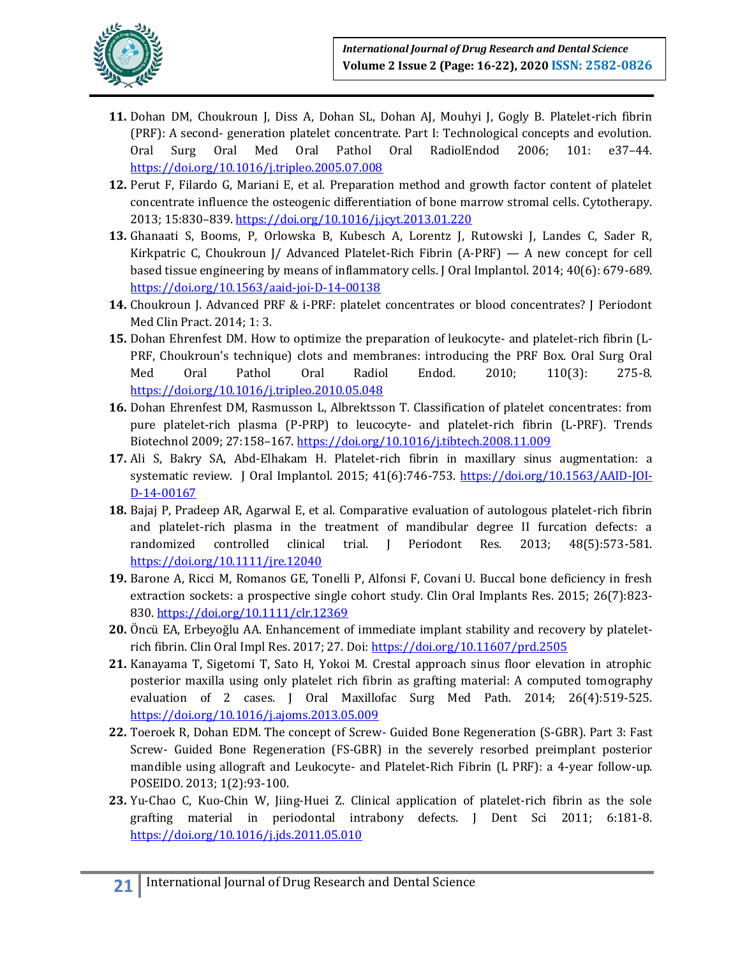

- **11.** Dohan DM, Choukroun J, Diss A, Dohan SL, Dohan AJ, Mouhyi J, Gogly B. Platelet-rich fibrin (PRF): A second- generation platelet concentrate. Part I: Technological concepts and evolution. Oral Surg Oral Med Oral Pathol Oral RadiolEndod 2006; 101: e37–44. <https://doi.org/10.1016/j.tripleo.2005.07.008>
- **12.** Perut F, Filardo G, Mariani E, et al. Preparation method and growth factor content of platelet concentrate influence the osteogenic differentiation of bone marrow stromal cells. Cytotherapy. 2013; 15:830–839.<https://doi.org/10.1016/j.jcyt.2013.01.220>
- **13.** Ghanaati S, Booms, P, Orlowska B, Kubesch A, Lorentz J, Rutowski J, Landes C, Sader R, Kirkpatric C, Choukroun J/ Advanced Platelet-Rich Fibrin  $(A-PRF) - A$  new concept for cell based tissue engineering by means of inflammatory cells. J Oral Implantol. 2014; 40(6): 679-689. <https://doi.org/10.1563/aaid-joi-D-14-00138>
- **14.** Choukroun J. Advanced PRF & i-PRF: platelet concentrates or blood concentrates? J Periodont Med Clin Pract. 2014; 1: 3.
- **15.** Dohan Ehrenfest DM. How to optimize the preparation of leukocyte- and platelet-rich fibrin (L-PRF, Choukroun's technique) clots and membranes: introducing the PRF Box. Oral Surg Oral Med Oral Pathol Oral Radiol Endod. 2010; 110(3): 275-8. <https://doi.org/10.1016/j.tripleo.2010.05.048>
- **16.** Dohan Ehrenfest DM, Rasmusson L, Albrektsson T. Classification of platelet concentrates: from pure platelet-rich plasma (P-PRP) to leucocyte- and platelet-rich fibrin (L-PRF). Trends Biotechnol 2009; 27:158–167.<https://doi.org/10.1016/j.tibtech.2008.11.009>
- **17.** Ali S, Bakry SA, Abd-Elhakam H. Platelet-rich fibrin in maxillary sinus augmentation: a systematic review. J Oral Implantol. 2015; 41(6):746-753. [https://doi.org/10.1563/AAID-JOI-](https://doi.org/10.1563/AAID-JOI-D-14-00167)[D-14-00167](https://doi.org/10.1563/AAID-JOI-D-14-00167)
- **18.** Bajaj P, Pradeep AR, Agarwal E, et al. Comparative evaluation of autologous platelet-rich fibrin and platelet-rich plasma in the treatment of mandibular degree II furcation defects: a randomized controlled clinical trial. J Periodont Res. 2013; 48(5):573-581. <https://doi.org/10.1111/jre.12040>
- **19.** Barone A, Ricci M, Romanos GE, Tonelli P, Alfonsi F, Covani U. Buccal bone deficiency in fresh extraction sockets: a prospective single cohort study. Clin Oral Implants Res. 2015; 26(7):823- 830.<https://doi.org/10.1111/clr.12369>
- **20.** Öncü EA, Erbeyoğlu AA. Enhancement of immediate implant stability and recovery by plateletrich fibrin. Clin Oral Impl Res. 2017; 27. Doi: <https://doi.org/10.11607/prd.2505>
- **21.** Kanayama T, Sigetomi T, Sato H, Yokoi M. Crestal approach sinus floor elevation in atrophic posterior maxilla using only platelet rich fibrin as grafting material: A computed tomography evaluation of 2 cases. J Oral Maxillofac Surg Med Path. 2014; 26(4):519-525. <https://doi.org/10.1016/j.ajoms.2013.05.009>
- **22.** Toeroek R, Dohan EDM. The concept of Screw- Guided Bone Regeneration (S-GBR). Part 3: Fast Screw- Guided Bone Regeneration (FS-GBR) in the severely resorbed preimplant posterior mandible using allograft and Leukocyte- and Platelet-Rich Fibrin (L PRF): a 4-year follow-up. POSEIDO. 2013; 1(2):93-100.
- 23. Yu-Chao C, Kuo-Chin W, Jiing-Huei Z. Clinical application of platelet-rich fibrin as the sole grafting material in periodontal intrabony defects. J Dent Sci 2011; 6:181-8. <https://doi.org/10.1016/j.jds.2011.05.010>